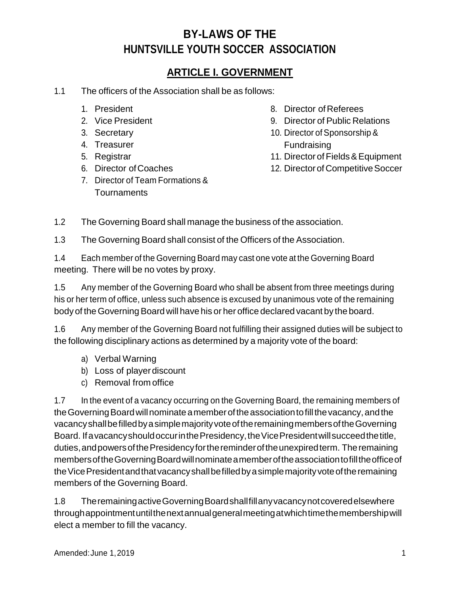### **ARTICLE I. GOVERNMENT**

- 1.1 The officers of the Association shall be as follows:
	- 1. President
	- 2. Vice President
	- 3. Secretary
	- 4. Treasurer
	- 5. Registrar
	- 6. Director ofCoaches
	- 7. Director of Team Formations & **Tournaments**
- 8. Director of Referees
- 9. Director of Public Relations
- 10. Director of Sponsorship & Fundraising
- 11. Director of Fields & Equipment
- 12. Director of Competitive Soccer
- 1.2 The Governing Board shall manage the business of the association.
- 1.3 The Governing Board shall consist of the Officers of the Association.

1.4 Each member of the Governing Board may cast one vote at the Governing Board meeting. There will be no votes by proxy.

1.5 Any member of the Governing Board who shall be absent from three meetings during his or her term of office, unless such absence is excused by unanimous vote of the remaining body of the Governing Board will have his or her office declared vacant by the board.

1.6 Any member of the Governing Board not fulfilling their assigned duties will be subject to the following disciplinary actions as determined by a majority vote of the board:

- a) Verbal Warning
- b) Loss of playerdiscount
- c) Removal from office

1.7 In the event of a vacancy occurring on the Governing Board, the remaining members of the Governing Board will nominate a member of the association to fill the vacancy, and the vacancyshallbefilledbyasimplemajorityvoteoftheremainingmembersoftheGoverning Board. IfavacancyshouldoccurinthePresidency,theVicePresidentwillsucceedthetitle, duties,andpowersofthePresidencyforthereminderoftheunexpiredterm. Theremaining membersoftheGoverningBoardwillnominateamemberoftheassociationtofilltheofficeof theVicePresidentandthatvacancyshallbefilledbyasimplemajorityvoteoftheremaining members of the Governing Board.

1.8 TheremainingactiveGoverningBoardshallfillanyvacancynotcoveredelsewhere throughappointmentuntilthenextannualgeneralmeetingatwhichtimethemembershipwill elect a member to fill the vacancy.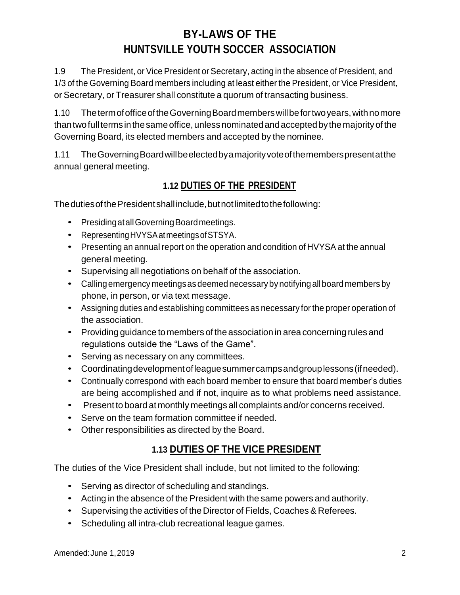1.9 The President, or Vice President or Secretary, acting in the absence of President, and 1/3 of the Governing Board members including at least either the President, or Vice President, or Secretary, or Treasurer shall constitute a quorum of transacting business.

1.10 ThetermofofficeoftheGoverningBoardmemberswillbefortwoyears,withnomore thantwofullterms inthesameoffice,unlessnominatedandacceptedbythemajorityof the Governing Board, its elected members and accepted by the nominee.

1.11 TheGoverningBoardwillbeelectedbyamajorityvoteofthememberspresentatthe annual general meeting.

### **1.12 DUTIES OF THE PRESIDENT**

ThedutiesofthePresidentshallinclude,butnotlimitedtothefollowing:

- PresidingatallGoverningBoardmeetings.
- Representing HVYSA at meetings of STSYA.
- Presenting an annual report on the operation and condition of HVYSA at the annual general meeting.
- Supervising all negotiations on behalf of the association.
- Calling emergency meetings as deemed necessary by notifying all board members by phone, in person, or via text message.
- Assigning duties and establishing committees as necessary for the proper operation of the association.
- Providing guidance to members of the association in area concerning rules and regulations outside the "Laws of the Game".
- Serving as necessary on any committees.
- Coordinatingdevelopmentofleaguesummercampsandgrouplessons(ifneeded).
- Continually correspond with each board member to ensure that board member's duties are being accomplished and if not, inquire as to what problems need assistance.
- Present to board at monthly meetings all complaints and/or concerns received.
- Serve on the team formation committee if needed.
- Other responsibilities as directed by the Board.

### **1.13 DUTIES OF THE VICE PRESIDENT**

The duties of the Vice President shall include, but not limited to the following:

- Serving as director of scheduling and standings.
- Acting in the absence of the President with the same powers and authority.
- Supervising the activities of the Director of Fields, Coaches & Referees.
- Scheduling all intra-club recreational league games.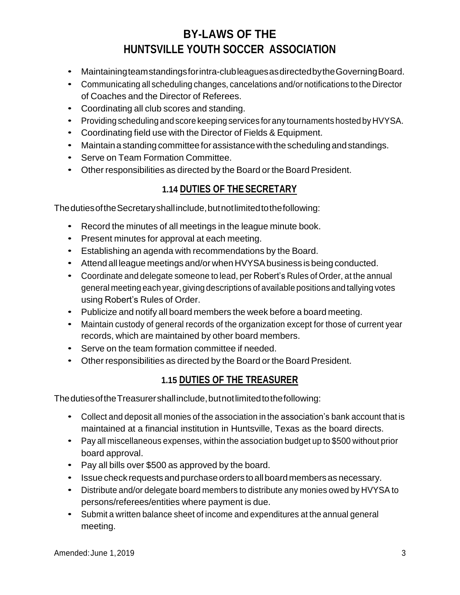- Maintainingteamstandingsforintra-clubleaguesasdirectedbytheGoverningBoard.
- Communicating all scheduling changes, cancelations and/or notifications to the Director of Coaches and the Director of Referees.
- Coordinating all club scores and standing.
- Providing scheduling and score keeping services for any tournaments hosted by HVYSA.
- Coordinating field use with the Director of Fields & Equipment.
- Maintain a standing committee for assistance with the scheduling and standings.
- Serve on Team Formation Committee.
- Other responsibilities as directed by the Board or the Board President.

### **1.14 DUTIES OF THE SECRETARY**

ThedutiesoftheSecretaryshallinclude,butnotlimitedtothefollowing:

- Record the minutes of all meetings in the league minute book.
- Present minutes for approval at each meeting.
- Establishing an agenda with recommendations by the Board.
- Attend all league meetings and/or when HVYSA business is being conducted.
- Coordinate and delegate someone to lead, per Robert's Rules of Order, at the annual general meeting each year, giving descriptions of available positions and tallying votes using Robert's Rules of Order.
- Publicize and notify all board members the week before a board meeting.
- Maintain custody of general records of the organization except for those of current year records, which are maintained by other board members.
- Serve on the team formation committee if needed.
- Other responsibilities as directed by the Board or the Board President.

#### **1.15 DUTIES OF THE TREASURER**

ThedutiesoftheTreasurershallinclude,butnotlimitedtothefollowing:

- Collect and deposit all monies of the association in the association's bank account that is maintained at a financial institution in Huntsville, Texas as the board directs.
- Pay all miscellaneous expenses, within the association budget up to \$500 without prior board approval.
- Pay all bills over \$500 as approved by the board.
- Issue check requests and purchase orders to all board members as necessary.
- Distribute and/or delegate board members to distribute any monies owed by HVYSA to persons/referees/entities where payment is due.
- Submit a written balance sheet of income and expenditures at the annual general meeting.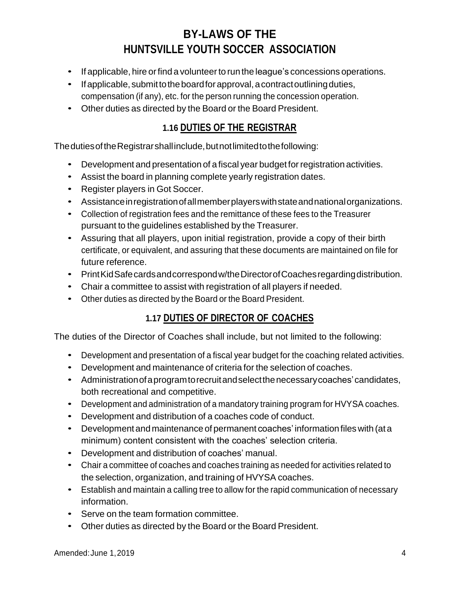- If applicable, hire or find a volunteer to run the league's concessions operations.
- If applicable, submit to the board for approval, a contract outlining duties, compensation (if any), etc. for the person running the concession operation.
- Other duties as directed by the Board or the Board President.

#### **1.16 DUTIES OF THE REGISTRAR**

ThedutiesoftheRegistrarshallinclude,butnotlimitedtothefollowing:

- Development and presentation of a fiscal year budget for registration activities.
- Assist the board in planning complete yearly registration dates.
- Register players in Got Soccer.
- Assistanceinregistrationofallmemberplayerswithstateandnationalorganizations.
- Collection of registration fees and the remittance of these fees to the Treasurer pursuant to the guidelines established by the Treasurer.
- Assuring that all players, upon initial registration, provide a copy of their birth certificate, or equivalent, and assuring that these documents are maintained on file for future reference.
- Print Kid Safe cards and correspond w/the Director of Coaches regarding distribution.
- Chair a committee to assist with registration of all players if needed.
- Other duties as directed by the Board or the Board President.

### **1.17 DUTIES OF DIRECTOR OF COACHES**

The duties of the Director of Coaches shall include, but not limited to the following:

- Development and presentation of a fiscal year budget for the coaching related activities.
- Development and maintenance of criteria for the selection of coaches.
- Administrationofaprogramtorecruitandselectthenecessarycoaches'candidates, both recreational and competitive.
- Development and administration of a mandatory training program for HVYSA coaches.
- Development and distribution of a coaches code of conduct.
- Development and maintenance of permanent coaches' information files with (at a minimum) content consistent with the coaches' selection criteria.
- Development and distribution of coaches' manual.
- Chair a committee of coaches and coaches training as needed for activities related to the selection, organization, and training of HVYSA coaches.
- Establish and maintain a calling tree to allow for the rapid communication of necessary information.
- Serve on the team formation committee.
- Other duties as directed by the Board or the Board President.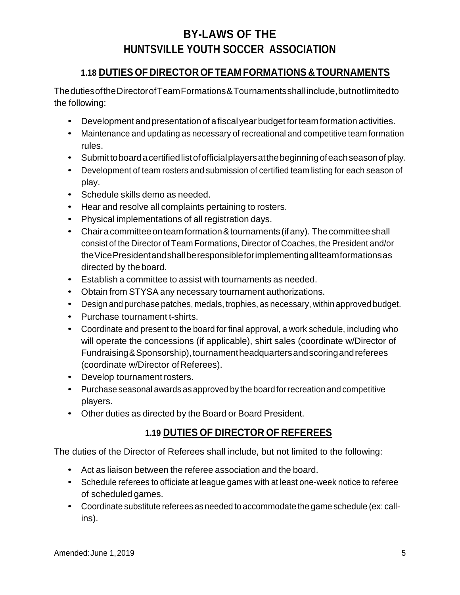#### **1.18 DUTIES OF DIRECTOR OF TEAM FORMATIONS & TOURNAMENTS**

ThedutiesoftheDirectorofTeamFormations&Tournamentsshallinclude,butnotlimitedto the following:

- Development and presentation of a fiscal year budget for team formation activities.
- Maintenance and updating as necessary of recreational and competitive team formation rules.
- Submittoboardacertifiedlistofofficialplayersatthebeginningofeachseasonofplay.
- Development of team rosters and submission of certified team listing for each season of play.
- Schedule skills demo as needed.
- Hear and resolve all complaints pertaining to rosters.
- Physical implementations of all registration days.
- Chaira committee on team formation & tournaments (if any). The committee shall consist of the Director of Team Formations, Director of Coaches, the President and/or theVicePresidentandshallberesponsibleforimplementingallteamformationsas directed by theboard.
- Establish a committee to assist with tournaments as needed.
- Obtain from STYSA any necessary tournament authorizations.
- Design and purchase patches, medals, trophies, as necessary, within approved budget.
- Purchase tournament t-shirts.
- Coordinate and present to the board for final approval, a work schedule, including who will operate the concessions (if applicable), shirt sales (coordinate w/Director of Fundraising&Sponsorship),tournamentheadquartersandscoringandreferees (coordinate w/Director of Referees).
- Develop tournament rosters.
- Purchase seasonal awards as approved by the board for recreation and competitive players.
- Other duties as directed by the Board or Board President.

### **1.19 DUTIES OF DIRECTOR OF REFEREES**

The duties of the Director of Referees shall include, but not limited to the following:

- Act as liaison between the referee association and the board.
- Schedule referees to officiate at league games with at least one-week notice to referee of scheduled games.
- Coordinate substitute referees asneeded to accommodate the game schedule (ex: callins).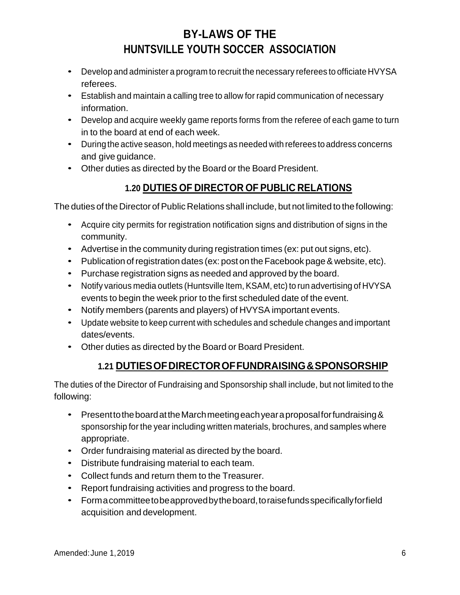- Develop and administer a program to recruit the necessary referees to officiate HVYSA referees.
- Establish and maintain a calling tree to allow for rapid communication of necessary information.
- Develop and acquire weekly game reports forms from the referee of each game to turn in to the board at end of each week.
- During the active season, hold meetings as needed with referees to address concerns and give guidance.
- Other duties as directed by the Board or the Board President.

## **1.20 DUTIES OF DIRECTOR OF PUBLIC RELATIONS**

The duties of the Director of Public Relations shall include, but not limited to the following:

- Acquire city permits for registration notification signs and distribution of signs in the community.
- Advertise in the community during registration times (ex: put out signs, etc).
- Publication of registration dates (ex: post on the Facebook page & website, etc).
- Purchase registration signs as needed and approved by the board.
- Notify various media outlets (Huntsville Item, KSAM, etc) to run advertising of HVYSA events to begin the week prior to the first scheduled date of the event.
- Notify members (parents and players) of HVYSA important events.
- Update website to keep current with schedules and schedule changes and important dates/events.
- Other duties as directed by the Board or Board President.

### **1.21 DUTIESOFDIRECTOROFFUNDRAISING&SPONSORSHIP**

The duties of the Director of Fundraising and Sponsorship shall include, but not limited to the following:

- Present to the board at the March meeting each year a proposal for fundraising & sponsorship for the year including written materials, brochures, and samples where appropriate.
- Order fundraising material as directed by the board.
- Distribute fundraising material to each team.
- Collect funds and return them to the Treasurer.
- Report fundraising activities and progress to the board.
- Formacommitteetobeapprovedbytheboard,toraisefundsspecificallyforfield acquisition and development.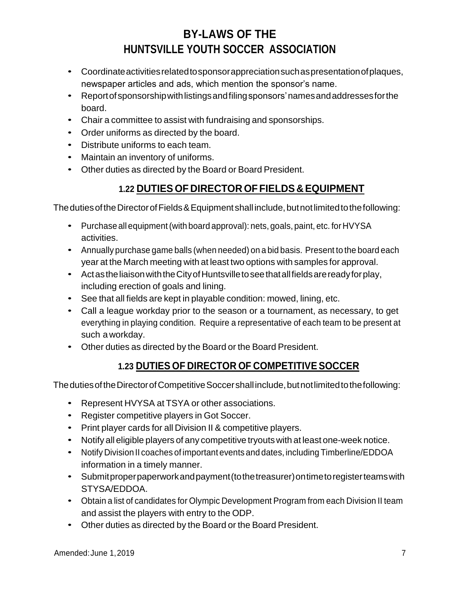- Coordinateactivitiesrelatedtosponsorappreciationsuchaspresentationofplaques, newspaper articles and ads, which mention the sponsor's name.
- Reportofsponsorshipwithlistingsandfilingsponsors'namesandaddressesforthe board.
- Chair a committee to assist with fundraising and sponsorships.
- Order uniforms as directed by the board.
- Distribute uniforms to each team.
- Maintain an inventory of uniforms.
- Other duties as directed by the Board or Board President.

### **1.22 DUTIES OF DIRECTOR OF FIELDS & EQUIPMENT**

The duties of the Director of Fields & Equipment shall include, but not limited to the following:

- Purchase all equipment(with board approval): nets, goals, paint, etc. for HVYSA activities.
- Annually purchase game balls (when needed) on a bid basis. Present to the board each year at the March meeting with at least two options with samples for approval.
- Actas the liaison with the City of Huntsville to see that all fields are ready for play, including erection of goals and lining.
- See that all fields are kept in playable condition: mowed, lining, etc.
- Call a league workday prior to the season or a tournament, as necessary, to get everything in playing condition. Require a representative of each team to be present at such a workday.
- Other duties as directed by the Board or the Board President.

### **1.23 DUTIES OF DIRECTOR OF COMPETITIVE SOCCER**

The duties of the Director of Competitive Soccer shall include, but not limited to the following:

- Represent HVYSA at TSYA or other associations.
- Register competitive players in Got Soccer.
- Print player cards for all Division II & competitive players.
- Notify all eligible players of any competitive tryouts with at least one-week notice.
- Notify Division II coaches of important events and dates, including Timberline/EDDOA information in a timely manner.
- Submitproperpaperworkandpayment(tothetreasurer)ontimetoregisterteamswith STYSA/EDDOA.
- Obtain a list of candidates for Olympic Development Program from each Division II team and assist the players with entry to the ODP.
- Other duties as directed by the Board or the Board President.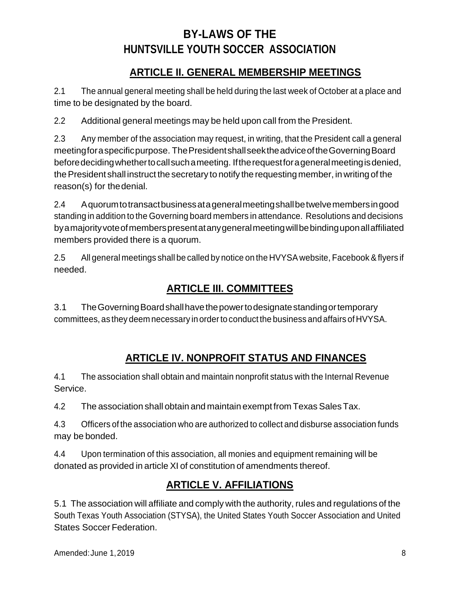### **ARTICLE II. GENERAL MEMBERSHIP MEETINGS**

2.1 The annual general meeting shall be held during the last week of October at a place and time to be designated by the board.

2.2 Additional general meetings may be held upon call from the President.

2.3 Any member of the association may request, in writing, that the President call a general meetingforaspecificpurpose. ThePresidentshallseektheadviceoftheGoverningBoard beforedecidingwhethertocallsuchameeting. Iftherequestforageneralmeetingisdenied, the President shall instruct the secretary to notify the requesting member, in writing of the reason(s) for thedenial.

2.4 Aquorumtotransactbusinessatageneralmeetingshallbetwelvemembersingood standing in addition to the Governing board members in attendance. Resolutions and decisions byamajorityvoteofmemberspresentatanygeneralmeetingwillbebindinguponallaffiliated members provided there is a quorum.

2.5 All general meetings shall be called by notice on the HVYSA website, Facebook &flyers if needed.

## **ARTICLE III. COMMITTEES**

3.1 TheGoverningBoardshallhavethepowertodesignatestandingortemporary committees, as they deem necessary in orderto conduct the business and affairs of HVYSA.

## **ARTICLE IV. NONPROFIT STATUS AND FINANCES**

4.1 The association shall obtain and maintain nonprofit status with the Internal Revenue Service.

4.2 The association shall obtain and maintain exempt from Texas Sales Tax.

4.3 Officers of the association who are authorized to collect and disburse association funds may be bonded.

4.4 Upon termination of this association, all monies and equipment remaining will be donated as provided in article XI of constitution of amendments thereof.

## **ARTICLE V. AFFILIATIONS**

5.1 The association will affiliate and comply with the authority, rules and regulations of the South Texas Youth Association (STYSA), the United States Youth Soccer Association and United States Soccer Federation.